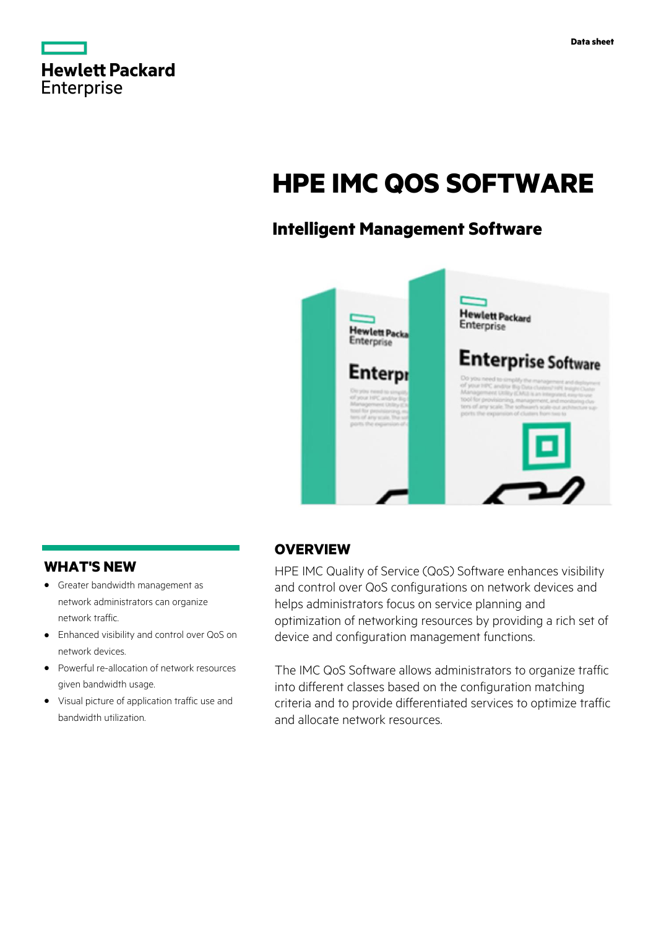

# **HPE IMC QOS SOFTWARE**

# **Intelligent Management Software**



## **WHAT'S NEW**

- **·** Greater bandwidth management as network administrators can organize network traffic.
- **·** Enhanced visibility and control over QoS on network devices.
- **·** Powerful re-allocation of network resources given bandwidth usage.
- **·** Visual picture of application traffic use and bandwidth utilization.

## **OVERVIEW**

HPE IMC Quality of Service (QoS) Software enhances visibility and control over QoS configurations on network devices and helps administrators focus on service planning and optimization of networking resources by providing a rich set of device and configuration management functions.

The IMC QoS Software allows administrators to organize traffic into different classes based on the configuration matching criteria and to provide differentiated services to optimize traffic and allocate network resources.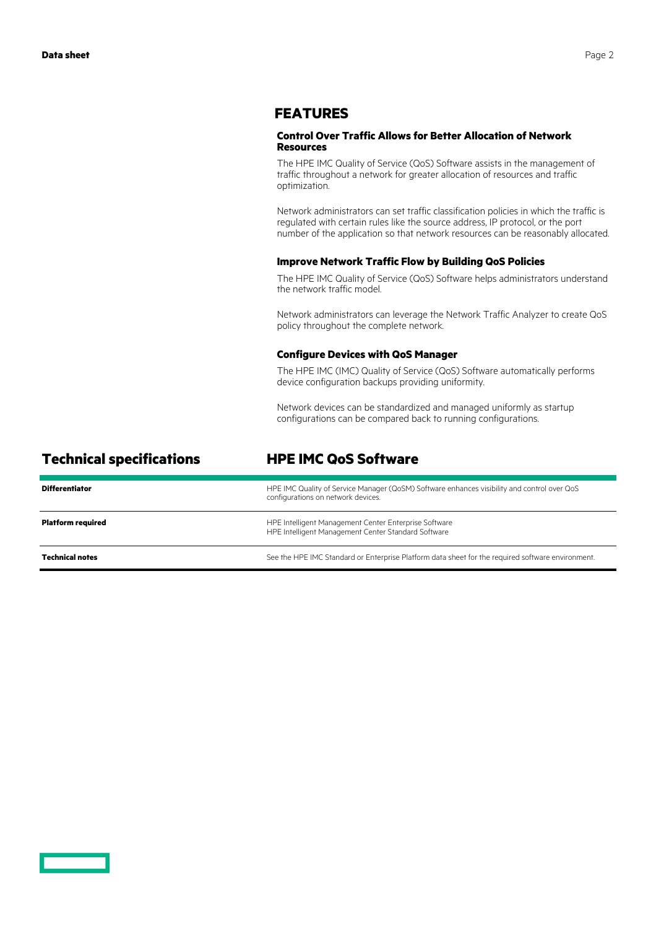### **FEATURES**

#### **Control Over Traffic Allows for Better Allocation of Network Resources**

The HPE IMC Quality of Service (QoS) Software assists in the management of traffic throughout a network for greater allocation of resources and traffic optimization.

Network administrators can set traffic classification policies in which the traffic is regulated with certain rules like the source address, IP protocol, or the port number of the application so that network resources can be reasonably allocated.

#### **Improve Network Traffic Flow by Building QoS Policies**

The HPE IMC Quality of Service (QoS) Software helps administrators understand the network traffic model.

Network administrators can leverage the Network Traffic Analyzer to create QoS policy throughout the complete network.

#### **Configure Devices with QoS Manager**

The HPE IMC (IMC) Quality of Service (QoS) Software automatically performs device configuration backups providing uniformity.

Network devices can be standardized and managed uniformly as startup configurations can be compared back to running configurations.

| <b>Technical specifications</b> | <b>HPE IMC QoS Software</b>                                                                                                       |
|---------------------------------|-----------------------------------------------------------------------------------------------------------------------------------|
| <b>Differentiator</b>           | HPE IMC Quality of Service Manager (QoSM) Software enhances visibility and control over QoS<br>configurations on network devices. |
| <b>Platform required</b>        | HPE Intelligent Management Center Enterprise Software<br>HPE Intelligent Management Center Standard Software                      |

Technical notes **See the HPE IMC** Standard or Enterprise Platform data sheet for the required software environment.